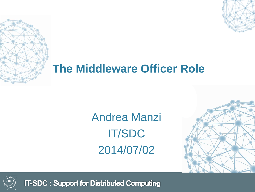

## **The Middleware Officer Role**

Andrea Manzi IT/SDC 2014/07/02





**IT-SDC: Support for Distributed Computing**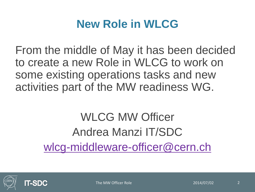#### **New Role in WLCG**

From the middle of May it has been decided to create a new Role in WLCG to work on some existing operations tasks and new activities part of the MW readiness WG.

# WLCG MW Officer Andrea Manzi IT/SDC [wlcg-middleware-officer@cern.ch](mailto:wlcg-middleware-officer@cern.ch)



The MW Officer Role 2014/07/02 2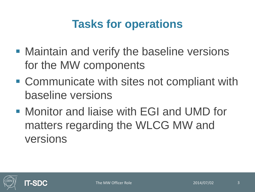## **Tasks for operations**

- **Maintain and verify the baseline versions** for the MW components
- Communicate with sites not compliant with baseline versions
- Monitor and liaise with EGI and UMD for matters regarding the WLCG MW and versions

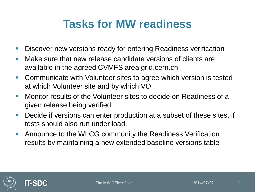#### **Tasks for MW readiness**

- **Discover new versions ready for entering Readiness verification**
- **Make sure that new release candidate versions of clients are** available in the agreed CVMFS area grid.cern.ch
- **Communicate with Volunteer sites to agree which version is tested** at which Volunteer site and by which VO
- **Monitor results of the Volunteer sites to decide on Readiness of a** given release being verified
- **Decide if versions can enter production at a subset of these sites, if** tests should also run under load.
- **Announce to the WLCG community the Readiness Verification** results by maintaining a new extended baseline versions table



**IT-SDC**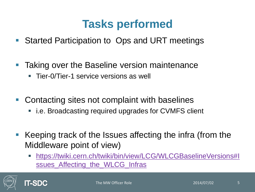#### **Tasks performed**

- Started Participation to Ops and URT meetings
- **Taking over the Baseline version maintenance** 
	- Tier-0/Tier-1 service versions as well
- Contacting sites not complaint with baselines
	- i.e. Broadcasting required upgrades for CVMFS client
- Keeping track of the Issues affecting the infra (from the Middleware point of view)
	- [https://twiki.cern.ch/twiki/bin/view/LCG/WLCGBaselineVersions#I](https://twiki.cern.ch/twiki/bin/view/LCG/WLCGBaselineVersions#Issues_Affecting_the_WLCG_Infras) [ssues\\_Affecting\\_the\\_WLCG\\_Infras](https://twiki.cern.ch/twiki/bin/view/LCG/WLCGBaselineVersions#Issues_Affecting_the_WLCG_Infras)

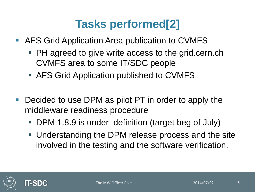## **Tasks performed[2]**

- AFS Grid Application Area publication to CVMFS
	- PH agreed to give write access to the grid.cern.ch CVMFS area to some IT/SDC people
	- AFS Grid Application published to CVMFS
- **Decided to use DPM as pilot PT in order to apply the** middleware readiness procedure
	- DPM 1.8.9 is under definition (target beg of July)
	- Understanding the DPM release process and the site involved in the testing and the software verification.

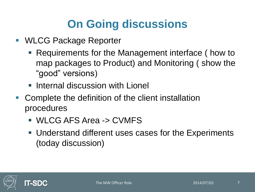## **On Going discussions**

- WLCG Package Reporter
	- Requirements for the Management interface (how to map packages to Product) and Monitoring ( show the "good" versions)
	- **Internal discussion with Lionel**
- **Complete the definition of the client installation** procedures
	- WLCG AFS Area -> CVMFS
	- Understand different uses cases for the Experiments (today discussion)

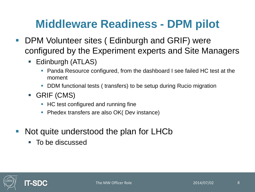## **Middleware Readiness - DPM pilot**

- **DPM Volunteer sites (Edinburgh and GRIF) were** configured by the Experiment experts and Site Managers
	- **Edinburgh (ATLAS)** 
		- Panda Resource configured, from the dashboard I see failed HC test at the moment
		- DDM functional tests ( transfers) to be setup during Rucio migration
	- GRIF (CMS)
		- HC test configured and running fine
		- Phedex transfers are also OK( Dev instance)
- Not quite understood the plan for LHCb
	- To be discussed

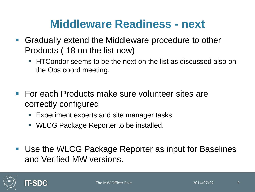#### **Middleware Readiness - next**

- Gradually extend the Middleware procedure to other Products ( 18 on the list now)
	- **HTCondor seems to be the next on the list as discussed also on** the Ops coord meeting.
- For each Products make sure volunteer sites are correctly configured
	- **Experiment experts and site manager tasks**
	- **WLCG Package Reporter to be installed.**
- Use the WLCG Package Reporter as input for Baselines and Verified MW versions.